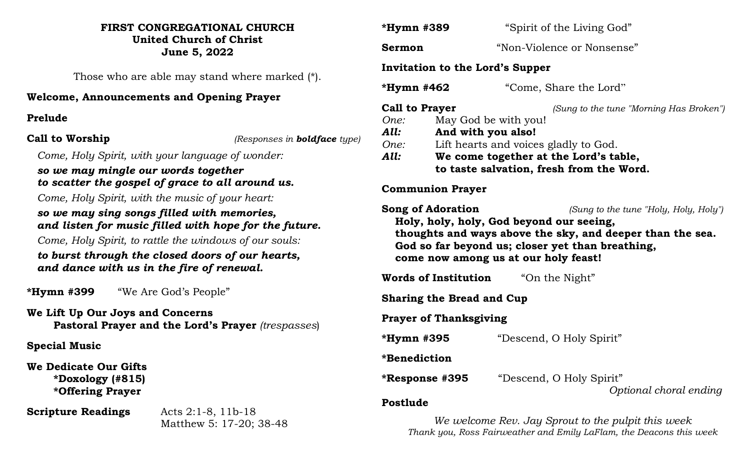#### **FIRST CONGREGATIONAL CHURCH United Church of Christ June 5, 2022**

Those who are able may stand where marked (\*).

# **Welcome, Announcements and Opening Prayer**

# **Prelude**

**Call to Worship** *(Responses in boldface type)*

*Come, Holy Spirit, with your language of wonder:*

# *so we may mingle our words together to scatter the gospel of grace to all around us.*

*Come, Holy Spirit, with the music of your heart:*

# *so we may sing songs filled with memories, and listen for music filled with hope for the future.*

*Come, Holy Spirit, to rattle the windows of our souls:*

# *to burst through the closed doors of our hearts, and dance with us in the fire of renewal.*

**\*Hymn #399** "We Are God's People"

**We Lift Up Our Joys and Concerns Pastoral Prayer and the Lord's Prayer** *(trespasses*)

**Special Music**

**We Dedicate Our Gifts \*Doxology (#815) \*Offering Prayer**

**Scripture Readings** Acts 2:1-8, 11b-18

Matthew 5: 17-20; 38-48

| *Hymn #389                                                                                                                                                                                                                                                                   | "Spirit of the Living God" |
|------------------------------------------------------------------------------------------------------------------------------------------------------------------------------------------------------------------------------------------------------------------------------|----------------------------|
| Sermon                                                                                                                                                                                                                                                                       | "Non-Violence or Nonsense" |
| Invitation to the Lord's Supper                                                                                                                                                                                                                                              |                            |
| *Hymn #462                                                                                                                                                                                                                                                                   | "Come, Share the Lord"     |
| <b>Call to Prayer</b><br>(Sung to the tune "Morning Has Broken")<br>May God be with you!<br>One:<br>And with you also!<br>All:<br>Lift hearts and voices gladly to God.<br>One:<br>All:<br>We come together at the Lord's table,<br>to taste salvation, fresh from the Word. |                            |
| <b>Communion Prayer</b>                                                                                                                                                                                                                                                      |                            |
| <b>Song of Adoration</b><br>(Sung to the tune "Holy, Holy, Holy")<br>Holy, holy, holy, God beyond our seeing,<br>thoughts and ways above the sky, and deeper than the sea.<br>God so far beyond us; closer yet than breathing,<br>come now among us at our holy feast!       |                            |
| <b>Words of Institution</b>                                                                                                                                                                                                                                                  | "On the Night"             |
| <b>Sharing the Bread and Cup</b>                                                                                                                                                                                                                                             |                            |
| <b>Prayer of Thanksgiving</b>                                                                                                                                                                                                                                                |                            |
| *Hymn #395                                                                                                                                                                                                                                                                   | "Descend, O Holy Spirit"   |
| *Benediction                                                                                                                                                                                                                                                                 |                            |
| *Response #395                                                                                                                                                                                                                                                               | "Descend, O Holy Spirit"   |
| Postlude                                                                                                                                                                                                                                                                     | Optional choral ending     |

*We welcome Rev. Jay Sprout to the pulpit this week Thank you, Ross Fairweather and Emily LaFlam, the Deacons this week*